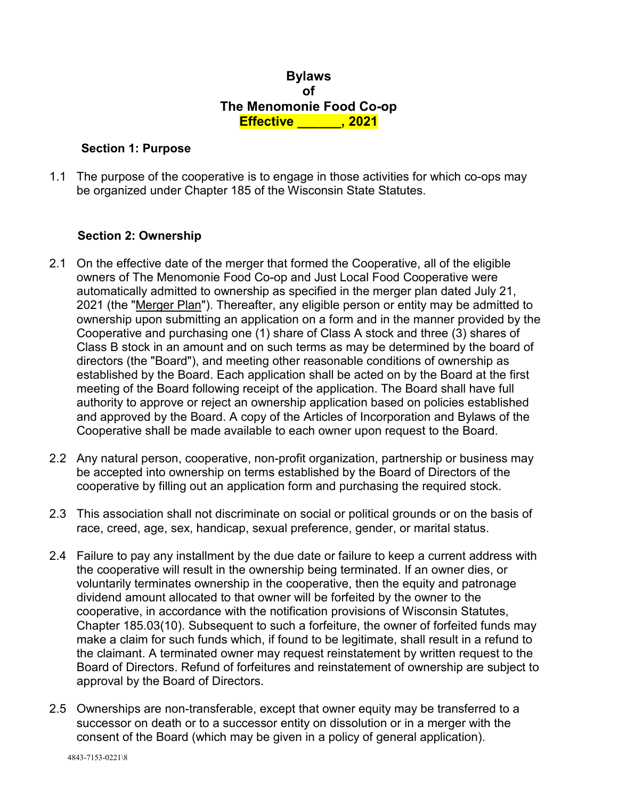### **Bylaws of The Menomonie Food Co-op Effective \_\_\_\_\_\_, 2021**

#### **Section 1: Purpose**

1.1 The purpose of the cooperative is to engage in those activities for which co-ops may be organized under Chapter 185 of the Wisconsin State Statutes.

### **Section 2: Ownership**

- 2.1 On the effective date of the merger that formed the Cooperative, all of the eligible owners of The Menomonie Food Co-op and Just Local Food Cooperative were automatically admitted to ownership as specified in the merger plan dated July 21, 2021 (the "Merger Plan"). Thereafter, any eligible person or entity may be admitted to ownership upon submitting an application on a form and in the manner provided by the Cooperative and purchasing one (1) share of Class A stock and three (3) shares of Class B stock in an amount and on such terms as may be determined by the board of directors (the "Board"), and meeting other reasonable conditions of ownership as established by the Board. Each application shall be acted on by the Board at the first meeting of the Board following receipt of the application. The Board shall have full authority to approve or reject an ownership application based on policies established and approved by the Board. A copy of the Articles of Incorporation and Bylaws of the Cooperative shall be made available to each owner upon request to the Board.
- 2.2 Any natural person, cooperative, non-profit organization, partnership or business may be accepted into ownership on terms established by the Board of Directors of the cooperative by filling out an application form and purchasing the required stock.
- 2.3 This association shall not discriminate on social or political grounds or on the basis of race, creed, age, sex, handicap, sexual preference, gender, or marital status.
- 2.4 Failure to pay any installment by the due date or failure to keep a current address with the cooperative will result in the ownership being terminated. If an owner dies, or voluntarily terminates ownership in the cooperative, then the equity and patronage dividend amount allocated to that owner will be forfeited by the owner to the cooperative, in accordance with the notification provisions of Wisconsin Statutes, Chapter 185.03(10). Subsequent to such a forfeiture, the owner of forfeited funds may make a claim for such funds which, if found to be legitimate, shall result in a refund to the claimant. A terminated owner may request reinstatement by written request to the Board of Directors. Refund of forfeitures and reinstatement of ownership are subject to approval by the Board of Directors.
- 2.5 Ownerships are non-transferable, except that owner equity may be transferred to a successor on death or to a successor entity on dissolution or in a merger with the consent of the Board (which may be given in a policy of general application).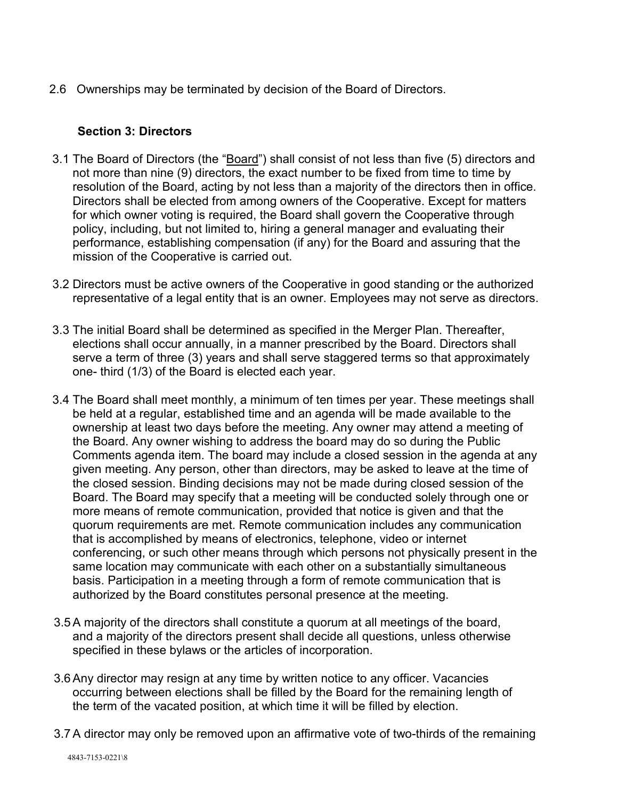2.6 Ownerships may be terminated by decision of the Board of Directors.

### **Section 3: Directors**

- 3.1 The Board of Directors (the "Board") shall consist of not less than five (5) directors and not more than nine (9) directors, the exact number to be fixed from time to time by resolution of the Board, acting by not less than a majority of the directors then in office. Directors shall be elected from among owners of the Cooperative. Except for matters for which owner voting is required, the Board shall govern the Cooperative through policy, including, but not limited to, hiring a general manager and evaluating their performance, establishing compensation (if any) for the Board and assuring that the mission of the Cooperative is carried out.
- 3.2 Directors must be active owners of the Cooperative in good standing or the authorized representative of a legal entity that is an owner. Employees may not serve as directors.
- 3.3 The initial Board shall be determined as specified in the Merger Plan. Thereafter, elections shall occur annually, in a manner prescribed by the Board. Directors shall serve a term of three (3) years and shall serve staggered terms so that approximately one- third (1/3) of the Board is elected each year.
- 3.4 The Board shall meet monthly, a minimum of ten times per year. These meetings shall be held at a regular, established time and an agenda will be made available to the ownership at least two days before the meeting. Any owner may attend a meeting of the Board. Any owner wishing to address the board may do so during the Public Comments agenda item. The board may include a closed session in the agenda at any given meeting. Any person, other than directors, may be asked to leave at the time of the closed session. Binding decisions may not be made during closed session of the Board. The Board may specify that a meeting will be conducted solely through one or more means of remote communication, provided that notice is given and that the quorum requirements are met. Remote communication includes any communication that is accomplished by means of electronics, telephone, video or internet conferencing, or such other means through which persons not physically present in the same location may communicate with each other on a substantially simultaneous basis. Participation in a meeting through a form of remote communication that is authorized by the Board constitutes personal presence at the meeting.
- 3.5A majority of the directors shall constitute a quorum at all meetings of the board, and a majority of the directors present shall decide all questions, unless otherwise specified in these bylaws or the articles of incorporation.
- 3.6Any director may resign at any time by written notice to any officer. Vacancies occurring between elections shall be filled by the Board for the remaining length of the term of the vacated position, at which time it will be filled by election.
- 3.7A director may only be removed upon an affirmative vote of two-thirds of the remaining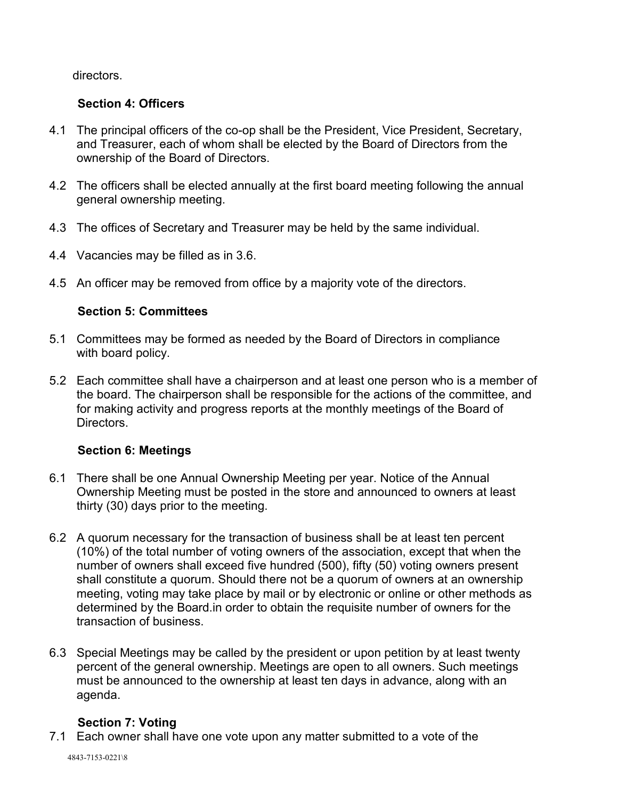directors.

## **Section 4: Officers**

- 4.1 The principal officers of the co-op shall be the President, Vice President, Secretary, and Treasurer, each of whom shall be elected by the Board of Directors from the ownership of the Board of Directors.
- 4.2 The officers shall be elected annually at the first board meeting following the annual general ownership meeting.
- 4.3 The offices of Secretary and Treasurer may be held by the same individual.
- 4.4 Vacancies may be filled as in 3.6.
- 4.5 An officer may be removed from office by a majority vote of the directors.

# **Section 5: Committees**

- 5.1 Committees may be formed as needed by the Board of Directors in compliance with board policy.
- 5.2 Each committee shall have a chairperson and at least one person who is a member of the board. The chairperson shall be responsible for the actions of the committee, and for making activity and progress reports at the monthly meetings of the Board of Directors.

## **Section 6: Meetings**

- 6.1 There shall be one Annual Ownership Meeting per year. Notice of the Annual Ownership Meeting must be posted in the store and announced to owners at least thirty (30) days prior to the meeting.
- 6.2 A quorum necessary for the transaction of business shall be at least ten percent (10%) of the total number of voting owners of the association, except that when the number of owners shall exceed five hundred (500), fifty (50) voting owners present shall constitute a quorum. Should there not be a quorum of owners at an ownership meeting, voting may take place by mail or by electronic or online or other methods as determined by the Board.in order to obtain the requisite number of owners for the transaction of business.
- 6.3 Special Meetings may be called by the president or upon petition by at least twenty percent of the general ownership. Meetings are open to all owners. Such meetings must be announced to the ownership at least ten days in advance, along with an agenda.

# **Section 7: Voting**

7.1 Each owner shall have one vote upon any matter submitted to a vote of the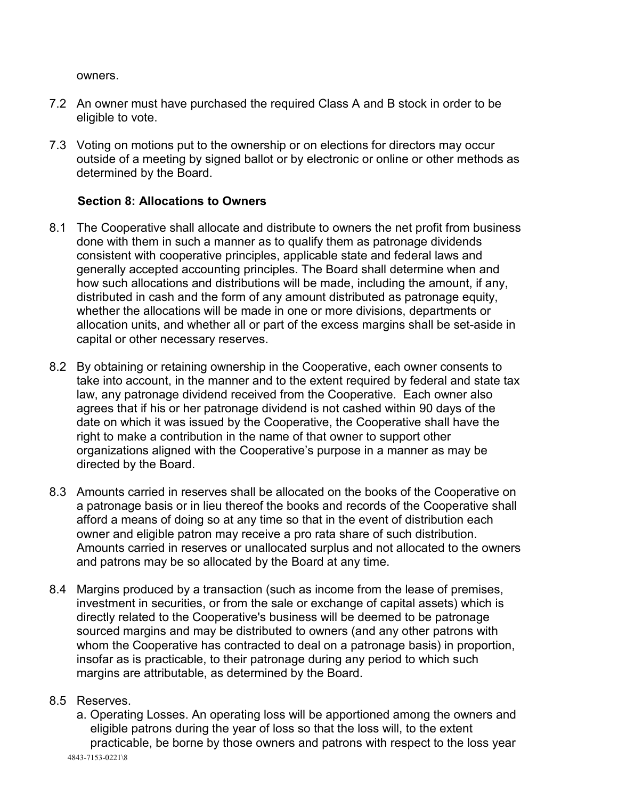owners.

- 7.2 An owner must have purchased the required Class A and B stock in order to be eligible to vote.
- 7.3 Voting on motions put to the ownership or on elections for directors may occur outside of a meeting by signed ballot or by electronic or online or other methods as determined by the Board.

### **Section 8: Allocations to Owners**

- 8.1 The Cooperative shall allocate and distribute to owners the net profit from business done with them in such a manner as to qualify them as patronage dividends consistent with cooperative principles, applicable state and federal laws and generally accepted accounting principles. The Board shall determine when and how such allocations and distributions will be made, including the amount, if any, distributed in cash and the form of any amount distributed as patronage equity, whether the allocations will be made in one or more divisions, departments or allocation units, and whether all or part of the excess margins shall be set-aside in capital or other necessary reserves.
- 8.2 By obtaining or retaining ownership in the Cooperative, each owner consents to take into account, in the manner and to the extent required by federal and state tax law, any patronage dividend received from the Cooperative. Each owner also agrees that if his or her patronage dividend is not cashed within 90 days of the date on which it was issued by the Cooperative, the Cooperative shall have the right to make a contribution in the name of that owner to support other organizations aligned with the Cooperative's purpose in a manner as may be directed by the Board.
- 8.3 Amounts carried in reserves shall be allocated on the books of the Cooperative on a patronage basis or in lieu thereof the books and records of the Cooperative shall afford a means of doing so at any time so that in the event of distribution each owner and eligible patron may receive a pro rata share of such distribution. Amounts carried in reserves or unallocated surplus and not allocated to the owners and patrons may be so allocated by the Board at any time.
- 8.4 Margins produced by a transaction (such as income from the lease of premises, investment in securities, or from the sale or exchange of capital assets) which is directly related to the Cooperative's business will be deemed to be patronage sourced margins and may be distributed to owners (and any other patrons with whom the Cooperative has contracted to deal on a patronage basis) in proportion, insofar as is practicable, to their patronage during any period to which such margins are attributable, as determined by the Board.

#### 8.5 Reserves.

a. Operating Losses. An operating loss will be apportioned among the owners and eligible patrons during the year of loss so that the loss will, to the extent practicable, be borne by those owners and patrons with respect to the loss year